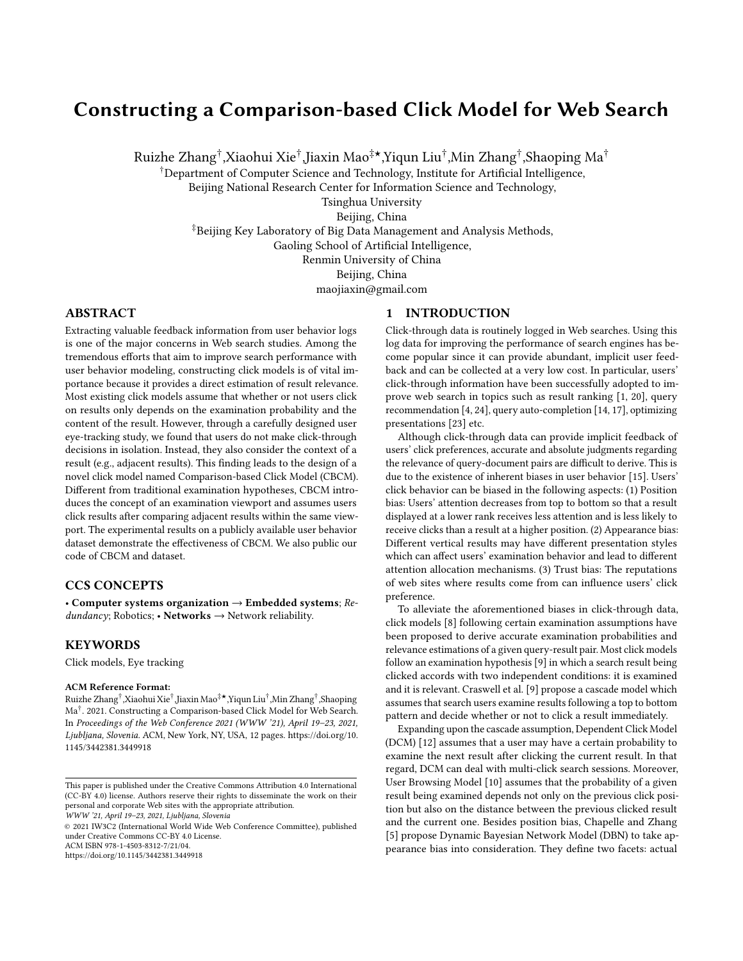# Constructing a Comparison-based Click Model for Web Search

Ruizhe Zhang† ,Xiaohui Xie† ,Jiaxin Mao‡★,Yiqun Liu† ,Min Zhang† ,Shaoping Ma†

†Department of Computer Science and Technology, Institute for Artificial Intelligence,

Beijing National Research Center for Information Science and Technology,

Tsinghua University

Beijing, China

‡Beijing Key Laboratory of Big Data Management and Analysis Methods,

Gaoling School of Artificial Intelligence,

Renmin University of China

Beijing, China

maojiaxin@gmail.com

# ABSTRACT

Extracting valuable feedback information from user behavior logs is one of the major concerns in Web search studies. Among the tremendous efforts that aim to improve search performance with user behavior modeling, constructing click models is of vital importance because it provides a direct estimation of result relevance. Most existing click models assume that whether or not users click on results only depends on the examination probability and the content of the result. However, through a carefully designed user eye-tracking study, we found that users do not make click-through decisions in isolation. Instead, they also consider the context of a result (e.g., adjacent results). This finding leads to the design of a novel click model named Comparison-based Click Model (CBCM). Different from traditional examination hypotheses, CBCM introduces the concept of an examination viewport and assumes users click results after comparing adjacent results within the same viewport. The experimental results on a publicly available user behavior dataset demonstrate the effectiveness of CBCM. We also public our code of CBCM and dataset.

## CCS CONCEPTS

• Computer systems organization  $\rightarrow$  Embedded systems; Re $dundancy$ ; Robotics; • Networks  $\rightarrow$  Network reliability.

## **KEYWORDS**

Click models, Eye tracking

#### ACM Reference Format:

Ruizhe Zhang† ,Xiaohui Xie† ,Jiaxin Mao‡★,Yiqun Liu† ,Min Zhang† ,Shaoping Ma† . 2021. Constructing a Comparison-based Click Model for Web Search. In Proceedings of the Web Conference 2021 (WWW '21), April 19–23, 2021, Ljubljana, Slovenia. ACM, New York, NY, USA, [12](#page-11-0) pages. [https://doi.org/10.](https://doi.org/10.1145/3442381.3449918) [1145/3442381.3449918](https://doi.org/10.1145/3442381.3449918)

WWW '21, April 19–23, 2021, Ljubljana, Slovenia

© 2021 IW3C2 (International World Wide Web Conference Committee), published under Creative Commons CC-BY 4.0 License. ACM ISBN 978-1-4503-8312-7/21/04.

<https://doi.org/10.1145/3442381.3449918>

# 1 INTRODUCTION

Click-through data is routinely logged in Web searches. Using this log data for improving the performance of search engines has become popular since it can provide abundant, implicit user feedback and can be collected at a very low cost. In particular, users' click-through information have been successfully adopted to improve web search in topics such as result ranking [\[1,](#page-9-0) [20\]](#page-9-1), query recommendation [\[4,](#page-9-2) [24\]](#page-9-3), query auto-completion [\[14,](#page-9-4) [17\]](#page-9-5), optimizing presentations [\[23\]](#page-9-6) etc.

Although click-through data can provide implicit feedback of users' click preferences, accurate and absolute judgments regarding the relevance of query-document pairs are difficult to derive. This is due to the existence of inherent biases in user behavior [\[15\]](#page-9-7). Users' click behavior can be biased in the following aspects: (1) Position bias: Users' attention decreases from top to bottom so that a result displayed at a lower rank receives less attention and is less likely to receive clicks than a result at a higher position. (2) Appearance bias: Different vertical results may have different presentation styles which can affect users' examination behavior and lead to different attention allocation mechanisms. (3) Trust bias: The reputations of web sites where results come from can influence users' click preference.

To alleviate the aforementioned biases in click-through data, click models [\[8\]](#page-9-8) following certain examination assumptions have been proposed to derive accurate examination probabilities and relevance estimations of a given query-result pair. Most click models follow an examination hypothesis [\[9\]](#page-9-9) in which a search result being clicked accords with two independent conditions: it is examined and it is relevant. Craswell et al. [\[9\]](#page-9-9) propose a cascade model which assumes that search users examine results following a top to bottom pattern and decide whether or not to click a result immediately.

Expanding upon the cascade assumption, Dependent Click Model (DCM) [\[12\]](#page-9-10) assumes that a user may have a certain probability to examine the next result after clicking the current result. In that regard, DCM can deal with multi-click search sessions. Moreover, User Browsing Model [\[10\]](#page-9-11) assumes that the probability of a given result being examined depends not only on the previous click position but also on the distance between the previous clicked result and the current one. Besides position bias, Chapelle and Zhang [\[5\]](#page-9-12) propose Dynamic Bayesian Network Model (DBN) to take appearance bias into consideration. They define two facets: actual

This paper is published under the Creative Commons Attribution 4.0 International (CC-BY 4.0) license. Authors reserve their rights to disseminate the work on their personal and corporate Web sites with the appropriate attribution.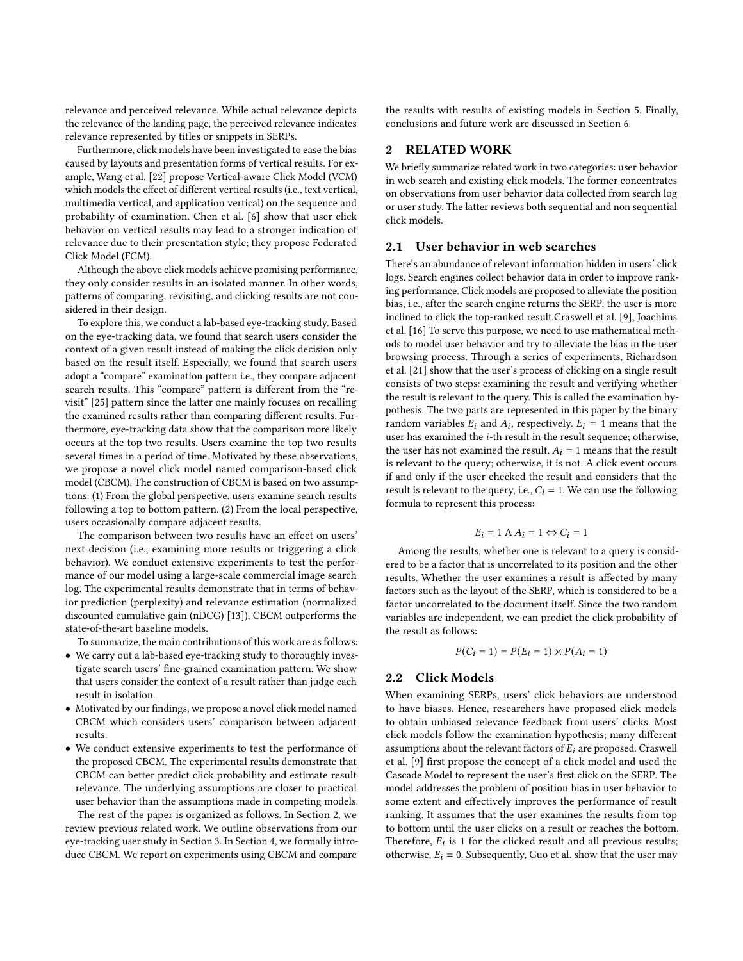relevance and perceived relevance. While actual relevance depicts the relevance of the landing page, the perceived relevance indicates relevance represented by titles or snippets in SERPs.

Furthermore, click models have been investigated to ease the bias caused by layouts and presentation forms of vertical results. For example, Wang et al. [\[22\]](#page-9-13) propose Vertical-aware Click Model (VCM) which models the effect of different vertical results (i.e., text vertical, multimedia vertical, and application vertical) on the sequence and probability of examination. Chen et al. [\[6\]](#page-9-14) show that user click behavior on vertical results may lead to a stronger indication of relevance due to their presentation style; they propose Federated Click Model (FCM).

Although the above click models achieve promising performance, they only consider results in an isolated manner. In other words, patterns of comparing, revisiting, and clicking results are not considered in their design.

To explore this, we conduct a lab-based eye-tracking study. Based on the eye-tracking data, we found that search users consider the context of a given result instead of making the click decision only based on the result itself. Especially, we found that search users adopt a "compare" examination pattern i.e., they compare adjacent search results. This "compare" pattern is different from the "revisit" [\[25\]](#page-9-15) pattern since the latter one mainly focuses on recalling the examined results rather than comparing different results. Furthermore, eye-tracking data show that the comparison more likely occurs at the top two results. Users examine the top two results several times in a period of time. Motivated by these observations, we propose a novel click model named comparison-based click model (CBCM). The construction of CBCM is based on two assumptions: (1) From the global perspective, users examine search results following a top to bottom pattern. (2) From the local perspective, users occasionally compare adjacent results.

The comparison between two results have an effect on users' next decision (i.e., examining more results or triggering a click behavior). We conduct extensive experiments to test the performance of our model using a large-scale commercial image search log. The experimental results demonstrate that in terms of behavior prediction (perplexity) and relevance estimation (normalized discounted cumulative gain (nDCG) [\[13\]](#page-9-16)), CBCM outperforms the state-of-the-art baseline models.

To summarize, the main contributions of this work are as follows:

- We carry out a lab-based eye-tracking study to thoroughly investigate search users' fine-grained examination pattern. We show that users consider the context of a result rather than judge each result in isolation.
- Motivated by our findings, we propose a novel click model named CBCM which considers users' comparison between adjacent results.
- We conduct extensive experiments to test the performance of the proposed CBCM. The experimental results demonstrate that CBCM can better predict click probability and estimate result relevance. The underlying assumptions are closer to practical user behavior than the assumptions made in competing models.

The rest of the paper is organized as follows. In Section 2, we review previous related work. We outline observations from our eye-tracking user study in Section 3. In Section 4, we formally introduce CBCM. We report on experiments using CBCM and compare

the results with results of existing models in Section 5. Finally, conclusions and future work are discussed in Section 6.

# 2 RELATED WORK

We briefly summarize related work in two categories: user behavior in web search and existing click models. The former concentrates on observations from user behavior data collected from search log or user study. The latter reviews both sequential and non sequential click models.

# 2.1 User behavior in web searches

There's an abundance of relevant information hidden in users' click logs. Search engines collect behavior data in order to improve ranking performance. Click models are proposed to alleviate the position bias, i.e., after the search engine returns the SERP, the user is more inclined to click the top-ranked result.Craswell et al. [\[9\]](#page-9-9), Joachims et al. [\[16\]](#page-9-17) To serve this purpose, we need to use mathematical methods to model user behavior and try to alleviate the bias in the user browsing process. Through a series of experiments, Richardson et al. [\[21\]](#page-9-18) show that the user's process of clicking on a single result consists of two steps: examining the result and verifying whether the result is relevant to the query. This is called the examination hypothesis. The two parts are represented in this paper by the binary random variables  $E_i$  and  $A_i$ , respectively.  $E_i = 1$  means that the user has examined the  $i$ -th result in the result sequence; otherwise, the user has not examined the result.  $A_i = 1$  means that the result is relevant to the query; otherwise, it is not. A click event occurs if and only if the user checked the result and considers that the result is relevant to the query, i.e.,  $C_i = 1$ . We can use the following formula to represent this process:

$$
E_i = 1 \land A_i = 1 \Leftrightarrow C_i = 1
$$

Among the results, whether one is relevant to a query is considered to be a factor that is uncorrelated to its position and the other results. Whether the user examines a result is affected by many factors such as the layout of the SERP, which is considered to be a factor uncorrelated to the document itself. Since the two random variables are independent, we can predict the click probability of the result as follows:

$$
P(C_i = 1) = P(E_i = 1) \times P(A_i = 1)
$$

#### 2.2 Click Models

When examining SERPs, users' click behaviors are understood to have biases. Hence, researchers have proposed click models to obtain unbiased relevance feedback from users' clicks. Most click models follow the examination hypothesis; many different assumptions about the relevant factors of  $E_i$  are proposed. Craswell et al. [\[9\]](#page-9-9) first propose the concept of a click model and used the Cascade Model to represent the user's first click on the SERP. The model addresses the problem of position bias in user behavior to some extent and effectively improves the performance of result ranking. It assumes that the user examines the results from top to bottom until the user clicks on a result or reaches the bottom. Therefore,  $E_i$  is 1 for the clicked result and all previous results; otherwise,  $E_i = 0$ . Subsequently, Guo et al. show that the user may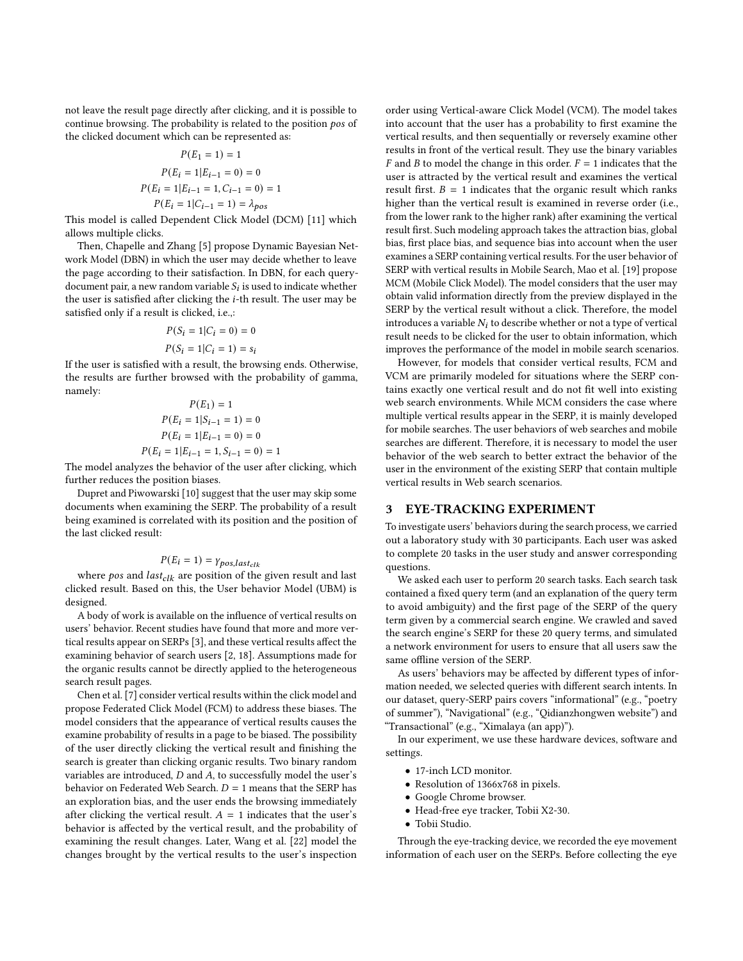not leave the result page directly after clicking, and it is possible to continue browsing. The probability is related to the position  $pos$  of the clicked document which can be represented as:

$$
P(E_1 = 1) = 1
$$
  
\n
$$
P(E_i = 1|E_{i-1} = 0) = 0
$$
  
\n
$$
P(E_i = 1|E_{i-1} = 1, C_{i-1} = 0) = 1
$$
  
\n
$$
P(E_i = 1|C_{i-1} = 1) = \lambda_{pos}
$$

This model is called Dependent Click Model (DCM) [\[11\]](#page-9-19) which allows multiple clicks.

Then, Chapelle and Zhang [\[5\]](#page-9-12) propose Dynamic Bayesian Network Model (DBN) in which the user may decide whether to leave the page according to their satisfaction. In DBN, for each querydocument pair, a new random variable  $S_i$  is used to indicate whether the user is satisfied after clicking the *i*-th result. The user may be satisfied only if a result is clicked, i.e.,:

$$
P(S_i = 1 | C_i = 0) = 0
$$
  

$$
P(S_i = 1 | C_i = 1) = s_i
$$

If the user is satisfied with a result, the browsing ends. Otherwise, the results are further browsed with the probability of gamma, namely:

$$
P(E_1) = 1
$$
  
\n
$$
P(E_i = 1|S_{i-1} = 1) = 0
$$
  
\n
$$
P(E_i = 1|E_{i-1} = 0) = 0
$$
  
\n
$$
P(E_i = 1|E_{i-1} = 1, S_{i-1} = 0) = 1
$$

The model analyzes the behavior of the user after clicking, which further reduces the position biases.

Dupret and Piwowarski [\[10\]](#page-9-11) suggest that the user may skip some documents when examining the SERP. The probability of a result being examined is correlated with its position and the position of the last clicked result:

$$
P(E_i = 1) = \gamma_{pos, last_{clk}}
$$

where pos and  $last_{clk}$  are position of the given result and last clicked result. Based on this, the User behavior Model (UBM) is designed.

A body of work is available on the influence of vertical results on users' behavior. Recent studies have found that more and more vertical results appear on SERPs [\[3\]](#page-9-20), and these vertical results affect the examining behavior of search users [\[2,](#page-9-21) [18\]](#page-9-22). Assumptions made for the organic results cannot be directly applied to the heterogeneous search result pages.

Chen et al. [\[7\]](#page-9-23) consider vertical results within the click model and propose Federated Click Model (FCM) to address these biases. The model considers that the appearance of vertical results causes the examine probability of results in a page to be biased. The possibility of the user directly clicking the vertical result and finishing the search is greater than clicking organic results. Two binary random variables are introduced,  $D$  and  $A$ , to successfully model the user's behavior on Federated Web Search.  $D = 1$  means that the SERP has an exploration bias, and the user ends the browsing immediately after clicking the vertical result.  $A = 1$  indicates that the user's behavior is affected by the vertical result, and the probability of examining the result changes. Later, Wang et al. [\[22\]](#page-9-13) model the changes brought by the vertical results to the user's inspection order using Vertical-aware Click Model (VCM). The model takes into account that the user has a probability to first examine the vertical results, and then sequentially or reversely examine other results in front of the vertical result. They use the binary variables F and B to model the change in this order.  $F = 1$  indicates that the user is attracted by the vertical result and examines the vertical result first.  $B = 1$  indicates that the organic result which ranks higher than the vertical result is examined in reverse order (i.e., from the lower rank to the higher rank) after examining the vertical result first. Such modeling approach takes the attraction bias, global bias, first place bias, and sequence bias into account when the user examines a SERP containing vertical results. For the user behavior of SERP with vertical results in Mobile Search, Mao et al. [\[19\]](#page-9-24) propose MCM (Mobile Click Model). The model considers that the user may obtain valid information directly from the preview displayed in the SERP by the vertical result without a click. Therefore, the model introduces a variable  $N_i$  to describe whether or not a type of vertical result needs to be clicked for the user to obtain information, which improves the performance of the model in mobile search scenarios.

However, for models that consider vertical results, FCM and VCM are primarily modeled for situations where the SERP contains exactly one vertical result and do not fit well into existing web search environments. While MCM considers the case where multiple vertical results appear in the SERP, it is mainly developed for mobile searches. The user behaviors of web searches and mobile searches are different. Therefore, it is necessary to model the user behavior of the web search to better extract the behavior of the user in the environment of the existing SERP that contain multiple vertical results in Web search scenarios.

## 3 EYE-TRACKING EXPERIMENT

To investigate users' behaviors during the search process, we carried out a laboratory study with 30 participants. Each user was asked to complete 20 tasks in the user study and answer corresponding questions.

We asked each user to perform 20 search tasks. Each search task contained a fixed query term (and an explanation of the query term to avoid ambiguity) and the first page of the SERP of the query term given by a commercial search engine. We crawled and saved the search engine's SERP for these 20 query terms, and simulated a network environment for users to ensure that all users saw the same offline version of the SERP.

As users' behaviors may be affected by different types of information needed, we selected queries with different search intents. In our dataset, query-SERP pairs covers "informational" (e.g., "poetry of summer"), "Navigational" (e.g., "Qidianzhongwen website") and "Transactional" (e.g., "Ximalaya (an app)").

In our experiment, we use these hardware devices, software and settings.

- 17-inch LCD monitor.
- Resolution of 1366x768 in pixels.
- Google Chrome browser.
- Head-free eye tracker, Tobii X2-30.
- Tobii Studio.

Through the eye-tracking device, we recorded the eye movement information of each user on the SERPs. Before collecting the eye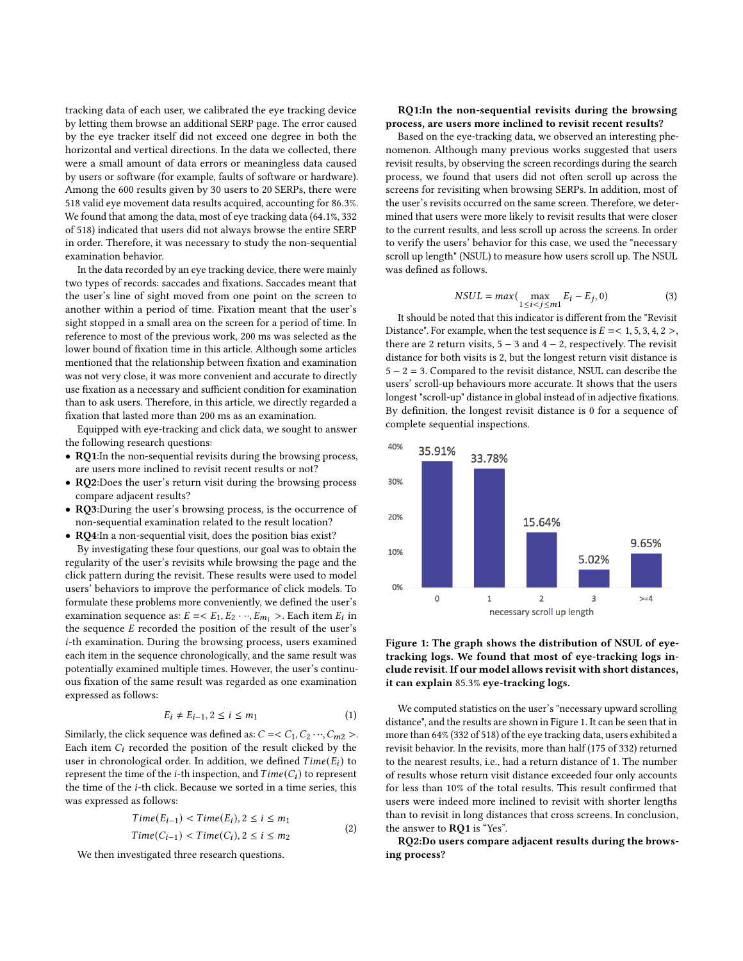tracking data of each user, we calibrated the eye tracking device by letting them browse an additional SERP page. The error caused by the eye tracker itself did not exceed one degree in both the horizontal and vertical directions. In the data we collected, there were a small amount of data errors or meaningless data caused by users or software (for example, faults of software or hardware). Among the 600 results given by 30 users to 20 SERPs, there were 518 valid eye movement data results acquired, accounting for 86.3%. We found that among the data, most of eye tracking data (64.1%, 332 of 518) indicated that users did not always browse the entire SERP in order. Therefore, it was necessary to study the non-sequential examination behavior.

In the data recorded by an eye tracking device, there were mainly two types of records: saccades and fixations. Saccades meant that the user's line of sight moved from one point on the screen to another within a period of time. Fixation meant that the user's sight stopped in a small area on the screen for a period of time. In reference to most of the previous work, 200 ms was selected as the lower bound of fixation time in this article. Although some articles mentioned that the relationship between fixation and examination was not very close, it was more convenient and accurate to directly use fixation as a necessary and sufficient condition for examination than to ask users. Therefore, in this article, we directly regarded a fixation that lasted more than 200 ms as an examination.

Equipped with eye-tracking and click data, we sought to answer the following research questions:

- RQ1:In the non-sequential revisits during the browsing process, are users more inclined to revisit recent results or not?
- RQ2:Does the user's return visit during the browsing process compare adjacent results?
- RQ3:During the user's browsing process, is the occurrence of non-sequential examination related to the result location?

• RQ4:In a non-sequential visit, does the position bias exist? By investigating these four questions, our goal was to obtain the regularity of the user's revisits while browsing the page and the click pattern during the revisit. These results were used to model users' behaviors to improve the performance of click models. To formulate these problems more conveniently, we defined the user's examination sequence as:  $E = \langle E_1, E_2 \cdots, E_{m_1} \rangle$ . Each item  $E_i$  in the sequence  $E$  recorded the position of the result of the user's i-th examination. During the browsing process, users examined each item in the sequence chronologically, and the same result was potentially examined multiple times. However, the user's continuous fixation of the same result was regarded as one examination expressed as follows:

$$
E_i \neq E_{i-1}, 2 \le i \le m_1 \tag{1}
$$

Similarly, the click sequence was defined as:  $C = < C_1, C_2 \cdots, C_{m2} >$ . Each item  $C_i$  recorded the position of the result clicked by the user in chronological order. In addition, we defined  $Time(E_i)$  to represent the time of the *i*-th inspection, and  $Time(C_i)$  to represent the time of the *i*-th click. Because we sorted in a time series, this was expressed as follows:

$$
Time(E_{i-1}) < Time(E_i), 2 \le i \le m_1
$$
\n
$$
Time(C_{i-1}) < Time(C_i), 2 \le i \le m_2
$$
\n
$$
(2)
$$

We then investigated three research questions.

#### RQ1:In the non-sequential revisits during the browsing process, are users more inclined to revisit recent results?

Based on the eye-tracking data, we observed an interesting phenomenon. Although many previous works suggested that users revisit results, by observing the screen recordings during the search process, we found that users did not often scroll up across the screens for revisiting when browsing SERPs. In addition, most of the user's revisits occurred on the same screen. Therefore, we determined that users were more likely to revisit results that were closer to the current results, and less scroll up across the screens. In order to verify the users' behavior for this case, we used the "necessary scroll up length" (NSUL) to measure how users scroll up. The NSUL was defined as follows.

$$
NSUL = max\left(\max_{1 \le i < j \le m1} E_i - E_j, 0\right) \tag{3}
$$

It should be noted that this indicator is different from the "Revisit Distance". For example, when the test sequence is  $E = < 1, 5, 3, 4, 2 >$ , there are 2 return visits,  $5 - 3$  and  $4 - 2$ , respectively. The revisit distance for both visits is 2, but the longest return visit distance is 5 − 2 = 3. Compared to the revisit distance, NSUL can describe the users' scroll-up behaviours more accurate. It shows that the users longest "scroll-up" distance in global instead of in adjective fixations. By definition, the longest revisit distance is 0 for a sequence of complete sequential inspections.

<span id="page-3-0"></span>

#### Figure 1: The graph shows the distribution of NSUL of eyetracking logs. We found that most of eye-tracking logs include revisit. If our model allows revisit with short distances, it can explain 85.3% eye-tracking logs.

We computed statistics on the user's "necessary upward scrolling distance", and the results are shown in Figure [1.](#page-3-0) It can be seen that in more than 64% (332 of 518) of the eye tracking data, users exhibited a revisit behavior. In the revisits, more than half (175 of 332) returned to the nearest results, i.e., had a return distance of 1. The number of results whose return visit distance exceeded four only accounts for less than 10% of the total results. This result confirmed that users were indeed more inclined to revisit with shorter lengths than to revisit in long distances that cross screens. In conclusion, the answer to RQ1 is "Yes".

RQ2:Do users compare adjacent results during the browsing process?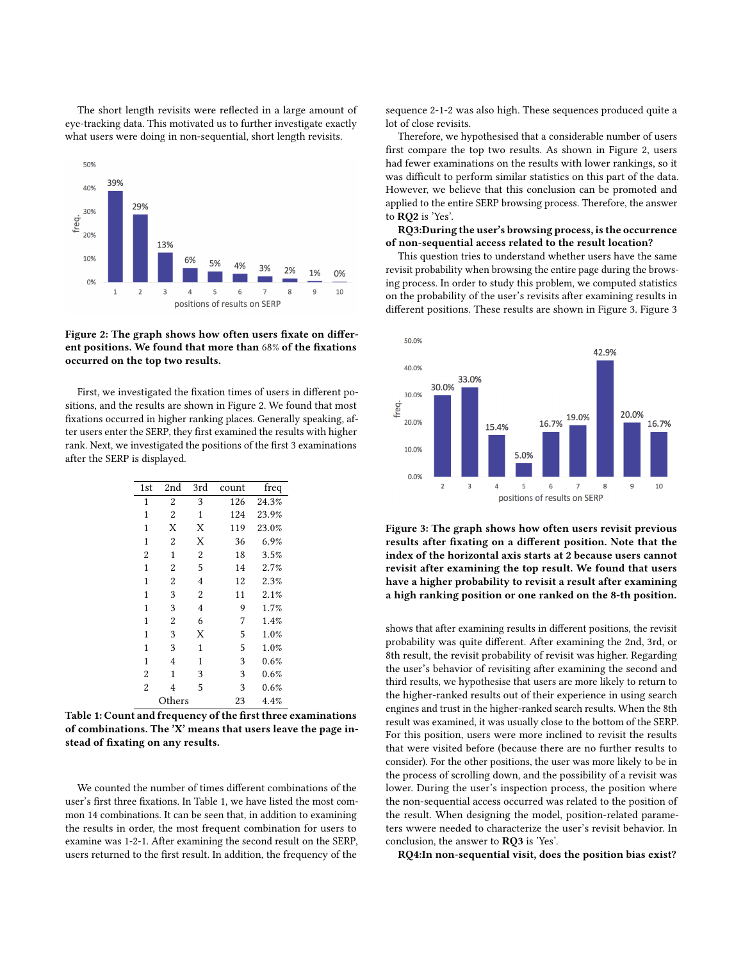The short length revisits were reflected in a large amount of eye-tracking data. This motivated us to further investigate exactly what users were doing in non-sequential, short length revisits.

<span id="page-4-0"></span>

Figure 2: The graph shows how often users fixate on different positions. We found that more than 68% of the fixations occurred on the top two results.

First, we investigated the fixation times of users in different positions, and the results are shown in Figure [2.](#page-4-0) We found that most fixations occurred in higher ranking places. Generally speaking, after users enter the SERP, they first examined the results with higher rank. Next, we investigated the positions of the first 3 examinations after the SERP is displayed.

<span id="page-4-1"></span>

| 1st            | 2nd            | 3rd            | count | freq  |
|----------------|----------------|----------------|-------|-------|
| 1              | 2              | 3              | 126   | 24.3% |
| 1              | $\overline{2}$ | $\mathbf{1}$   | 124   | 23.9% |
| $\mathbf{1}$   | Х              | X              | 119   | 23.0% |
| 1              | $\overline{2}$ | X              | 36    | 6.9%  |
| 2              | 1              | $\overline{c}$ | 18    | 3.5%  |
| $\mathbf{1}$   | $\overline{2}$ | 5              | 14    | 2.7%  |
| 1              | $\overline{2}$ | 4              | 12    | 2.3%  |
| 1              | 3              | $\overline{2}$ | 11    | 2.1%  |
| 1              | 3              | 4              | 9     | 1.7%  |
| 1              | $\overline{2}$ | 6              | 7     | 1.4%  |
| 1              | 3              | X              | 5     | 1.0%  |
| 1              | 3              | 1              | 5     | 1.0%  |
| 1              | 4              | 1              | 3     | 0.6%  |
| $\overline{2}$ | 1              | 3              | 3     | 0.6%  |
| $\overline{2}$ | $\overline{4}$ | 5              | 3     | 0.6%  |
| Others         |                |                | 23    | 4.4%  |

Table 1: Count and frequency of the first three examinations of combinations. The 'X' means that users leave the page instead of fixating on any results.

We counted the number of times different combinations of the user's first three fixations. In Table [1,](#page-4-1) we have listed the most common 14 combinations. It can be seen that, in addition to examining the results in order, the most frequent combination for users to examine was 1-2-1. After examining the second result on the SERP, users returned to the first result. In addition, the frequency of the

sequence 2-1-2 was also high. These sequences produced quite a lot of close revisits.

Therefore, we hypothesised that a considerable number of users first compare the top two results. As shown in Figure [2,](#page-4-0) users had fewer examinations on the results with lower rankings, so it was difficult to perform similar statistics on this part of the data. However, we believe that this conclusion can be promoted and applied to the entire SERP browsing process. Therefore, the answer to RQ2 is 'Yes'.

#### RQ3:During the user's browsing process, is the occurrence of non-sequential access related to the result location?

This question tries to understand whether users have the same revisit probability when browsing the entire page during the browsing process. In order to study this problem, we computed statistics on the probability of the user's revisits after examining results in different positions. These results are shown in Figure [3.](#page-4-2) Figure [3](#page-4-2)

<span id="page-4-2"></span>

Figure 3: The graph shows how often users revisit previous results after fixating on a different position. Note that the index of the horizontal axis starts at 2 because users cannot revisit after examining the top result. We found that users have a higher probability to revisit a result after examining a high ranking position or one ranked on the 8-th position.

shows that after examining results in different positions, the revisit probability was quite different. After examining the 2nd, 3rd, or 8th result, the revisit probability of revisit was higher. Regarding the user's behavior of revisiting after examining the second and third results, we hypothesise that users are more likely to return to the higher-ranked results out of their experience in using search engines and trust in the higher-ranked search results. When the 8th result was examined, it was usually close to the bottom of the SERP. For this position, users were more inclined to revisit the results that were visited before (because there are no further results to consider). For the other positions, the user was more likely to be in the process of scrolling down, and the possibility of a revisit was lower. During the user's inspection process, the position where the non-sequential access occurred was related to the position of the result. When designing the model, position-related parameters wwere needed to characterize the user's revisit behavior. In conclusion, the answer to RQ3 is 'Yes'.

RQ4:In non-sequential visit, does the position bias exist?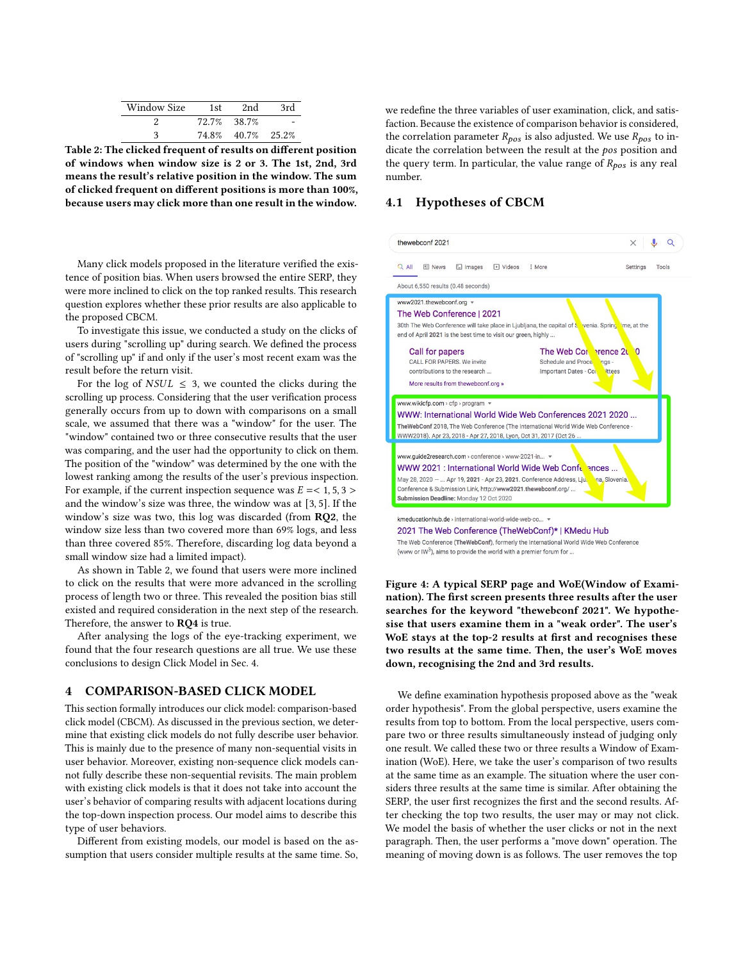| <b>Window Size</b> | 1st   | 2nd         | 3rd |
|--------------------|-------|-------------|-----|
|                    |       | 72.7% 38.7% |     |
| 3                  | 74.8% | 40.7% 25.2% |     |

<span id="page-5-0"></span>Table 2: The clicked frequent of results on different position of windows when window size is 2 or 3. The 1st, 2nd, 3rd means the result's relative position in the window. The sum of clicked frequent on different positions is more than 100%, because users may click more than one result in the window.

Many click models proposed in the literature verified the existence of position bias. When users browsed the entire SERP, they were more inclined to click on the top ranked results. This research question explores whether these prior results are also applicable to the proposed CBCM.

To investigate this issue, we conducted a study on the clicks of users during "scrolling up" during search. We defined the process of "scrolling up" if and only if the user's most recent exam was the result before the return visit.

For the log of  $NSUL \leq 3$ , we counted the clicks during the scrolling up process. Considering that the user verification process generally occurs from up to down with comparisons on a small scale, we assumed that there was a "window" for the user. The "window" contained two or three consecutive results that the user was comparing, and the user had the opportunity to click on them. The position of the "window" was determined by the one with the lowest ranking among the results of the user's previous inspection. For example, if the current inspection sequence was  $E = < 1, 5, 3 >$ and the window's size was three, the window was at [3, 5]. If the window's size was two, this log was discarded (from RQ2, the window size less than two covered more than 69% logs, and less than three covered 85%. Therefore, discarding log data beyond a small window size had a limited impact).

As shown in Table [2,](#page-5-0) we found that users were more inclined to click on the results that were more advanced in the scrolling process of length two or three. This revealed the position bias still existed and required consideration in the next step of the research. Therefore, the answer to **RQ4** is true.

After analysing the logs of the eye-tracking experiment, we found that the four research questions are all true. We use these conclusions to design Click Model in Sec. 4.

#### 4 COMPARISON-BASED CLICK MODEL

This section formally introduces our click model: comparison-based click model (CBCM). As discussed in the previous section, we determine that existing click models do not fully describe user behavior. This is mainly due to the presence of many non-sequential visits in user behavior. Moreover, existing non-sequence click models cannot fully describe these non-sequential revisits. The main problem with existing click models is that it does not take into account the user's behavior of comparing results with adjacent locations during the top-down inspection process. Our model aims to describe this type of user behaviors.

Different from existing models, our model is based on the assumption that users consider multiple results at the same time. So, we redefine the three variables of user examination, click, and satisfaction. Because the existence of comparison behavior is considered, the correlation parameter  $R_{pos}$  is also adjusted. We use  $R_{pos}$  to indicate the correlation between the result at the  $pos$  position and the query term. In particular, the value range of  $R_{pos}$  is any real number.

# 4.1 Hypotheses of CBCM

<span id="page-5-1"></span>

The Web Conference (TheWebConf), formerly the International World Wide Web Conference (www or IW<sup>3</sup>), aims to provide the world with a premier forum for ...

Figure 4: A typical SERP page and WoE(Window of Examination). The first screen presents three results after the user searches for the keyword "thewebconf 2021". We hypothesise that users examine them in a "weak order". The user's WoE stays at the top-2 results at first and recognises these two results at the same time. Then, the user's WoE moves down, recognising the 2nd and 3rd results.

We define examination hypothesis proposed above as the "weak order hypothesis". From the global perspective, users examine the results from top to bottom. From the local perspective, users compare two or three results simultaneously instead of judging only one result. We called these two or three results a Window of Examination (WoE). Here, we take the user's comparison of two results at the same time as an example. The situation where the user considers three results at the same time is similar. After obtaining the SERP, the user first recognizes the first and the second results. After checking the top two results, the user may or may not click. We model the basis of whether the user clicks or not in the next paragraph. Then, the user performs a "move down" operation. The meaning of moving down is as follows. The user removes the top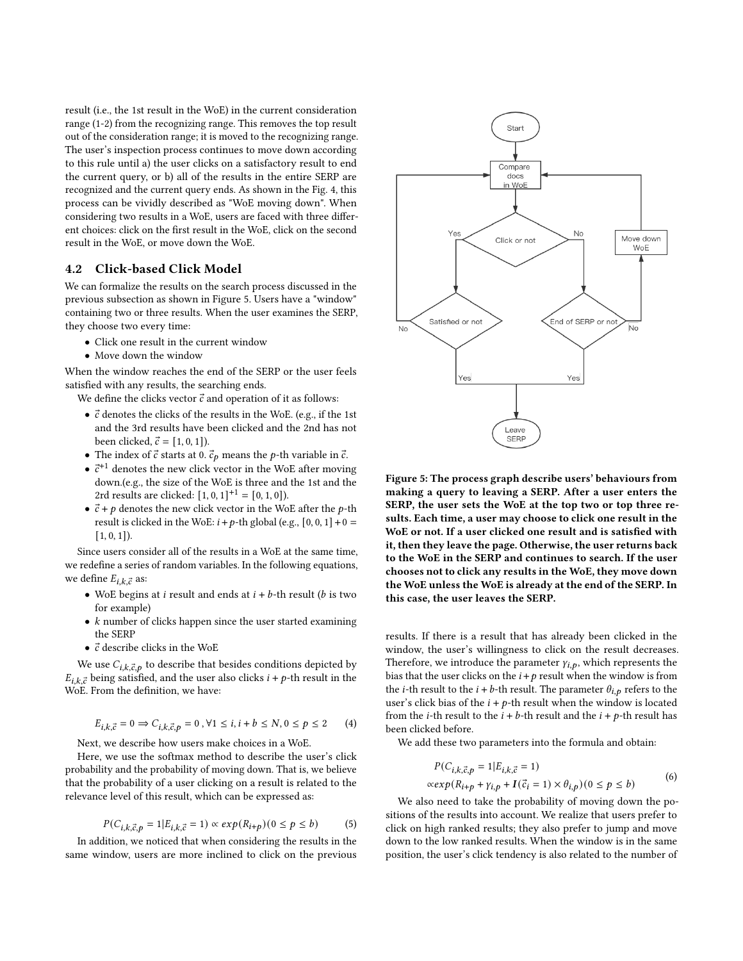result (i.e., the 1st result in the WoE) in the current consideration range (1-2) from the recognizing range. This removes the top result out of the consideration range; it is moved to the recognizing range. The user's inspection process continues to move down according to this rule until a) the user clicks on a satisfactory result to end the current query, or b) all of the results in the entire SERP are recognized and the current query ends. As shown in the Fig. [4,](#page-5-1) this process can be vividly described as "WoE moving down". When considering two results in a WoE, users are faced with three different choices: click on the first result in the WoE, click on the second result in the WoE, or move down the WoE.

### 4.2 Click-based Click Model

We can formalize the results on the search process discussed in the previous subsection as shown in Figure [5.](#page-6-0) Users have a "window" containing two or three results. When the user examines the SERP, they choose two every time:

- Click one result in the current window
- Move down the window

When the window reaches the end of the SERP or the user feels satisfied with any results, the searching ends.

We define the clicks vector  $\vec{c}$  and operation of it as follows:

- $\bullet$   $\vec{c}$  denotes the clicks of the results in the WoE. (e.g., if the 1st and the 3rd results have been clicked and the 2nd has not been clicked,  $\vec{c} = [1, 0, 1]$ .
- The index of  $\vec{c}$  starts at 0.  $\vec{c}_p$  means the p-th variable in  $\vec{c}$ .
- $\bullet$   $\vec{c}^{+1}$  denotes the new click vector in the WoE after moving down.(e.g., the size of the WoE is three and the 1st and the 2rd results are clicked:  $[1, 0, 1]^{+1} = [0, 1, 0]$ ).
- $\vec{c}$  + p denotes the new click vector in the WoE after the p-th result is clicked in the WoE:  $i+p$ -th global (e.g.,  $[0, 0, 1] + 0 =$  $[1, 0, 1]$ .

Since users consider all of the results in a WoE at the same time, we redefine a series of random variables. In the following equations, we define  $E_{i,k,\vec{c}}$  as:

- WoE begins at  $i$  result and ends at  $i + b$ -th result ( $b$  is two for example)
- $\bullet$  k number of clicks happen since the user started examining the SERP
- $\bullet~$   $\vec{c}$  describe clicks in the WoE

We use  $C_{i,k,\vec{c},p}$  to describe that besides conditions depicted by  $E_{i,k,\vec{c}}$  being satisfied, and the user also clicks  $i + p$ -th result in the WoE. From the definition, we have:

$$
E_{i,k,\vec{c}} = 0 \Rightarrow C_{i,k,\vec{c},p} = 0, \forall 1 \le i, i + b \le N, 0 \le p \le 2 \tag{4}
$$

Next, we describe how users make choices in a WoE.

Here, we use the softmax method to describe the user's click probability and the probability of moving down. That is, we believe that the probability of a user clicking on a result is related to the relevance level of this result, which can be expressed as:

$$
P(C_{i,k,\vec{c},p} = 1 | E_{i,k,\vec{c}} = 1) \propto exp(R_{i+p})(0 \le p \le b)
$$
 (5)

In addition, we noticed that when considering the results in the same window, users are more inclined to click on the previous

<span id="page-6-0"></span>

Figure 5: The process graph describe users' behaviours from making a query to leaving a SERP. After a user enters the SERP, the user sets the WoE at the top two or top three results. Each time, a user may choose to click one result in the WoE or not. If a user clicked one result and is satisfied with it, then they leave the page. Otherwise, the user returns back to the WoE in the SERP and continues to search. If the user chooses not to click any results in the WoE, they move down the WoE unless the WoE is already at the end of the SERP. In this case, the user leaves the SERP.

results. If there is a result that has already been clicked in the window, the user's willingness to click on the result decreases. Therefore, we introduce the parameter  $\gamma_{i,p}$ , which represents the bias that the user clicks on the  $i + p$  result when the window is from the *i*-th result to the  $i + b$ -th result. The parameter  $\theta_{i,p}$  refers to the user's click bias of the  $i + p$ -th result when the window is located from the *i*-th result to the  $i + b$ -th result and the  $i + p$ -th result has been clicked before.

We add these two parameters into the formula and obtain:

$$
P(C_{i,k,\vec{c},p} = 1 | E_{i,k,\vec{c}} = 1)
$$
  
\n
$$
\propto \exp(R_{i+p} + \gamma_{i,p} + I(\vec{c}_i = 1) \times \theta_{i,p})(0 \le p \le b)
$$
 (6)

We also need to take the probability of moving down the positions of the results into account. We realize that users prefer to click on high ranked results; they also prefer to jump and move down to the low ranked results. When the window is in the same position, the user's click tendency is also related to the number of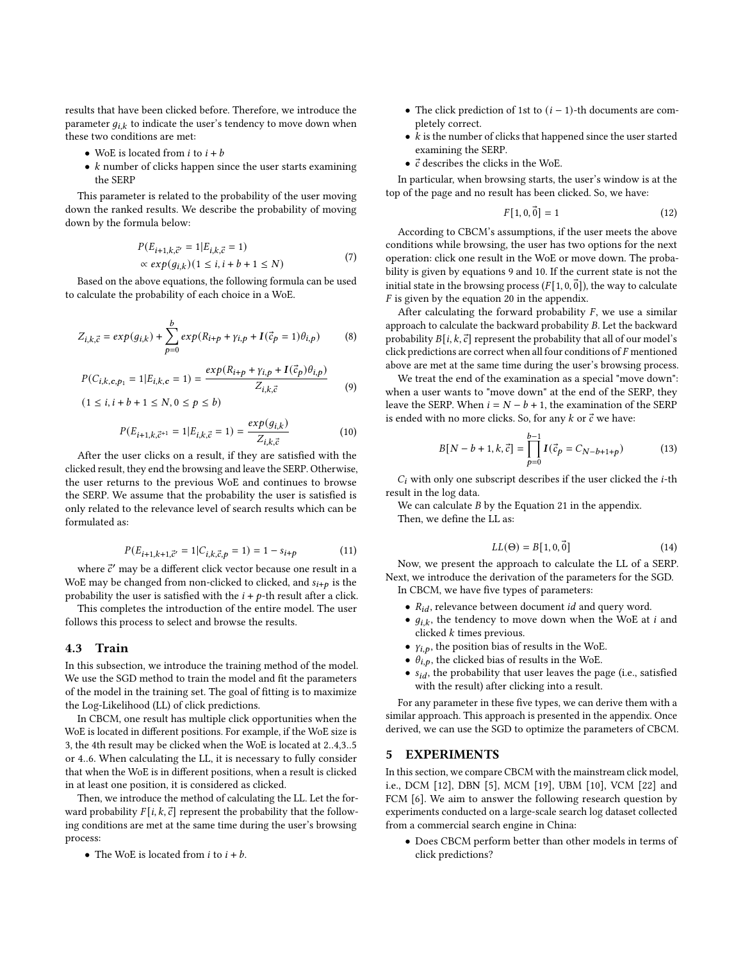results that have been clicked before. Therefore, we introduce the parameter  $g_{i,k}$  to indicate the user's tendency to move down when these two conditions are met:

- WoE is located from  $i$  to  $i + b$
- $\bullet$  k number of clicks happen since the user starts examining the SERP

This parameter is related to the probability of the user moving down the ranked results. We describe the probability of moving down by the formula below:

$$
P(E_{i+1,k,\vec{c}'} = 1 | E_{i,k,\vec{c}} = 1)
$$
  
 
$$
\propto exp(g_{i,k})(1 \le i, i + b + 1 \le N)
$$
 (7)

Based on the above equations, the following formula can be used to calculate the probability of each choice in a WoE.

$$
Z_{i,k,\vec{c}} = exp(g_{i,k}) + \sum_{p=0}^{b} exp(R_{i+p} + \gamma_{i,p} + I(\vec{c}_p = 1)\theta_{i,p})
$$
 (8)

<span id="page-7-0"></span>
$$
P(C_{i,k,c,p_1} = 1 | E_{i,k,c} = 1) = \frac{\exp(R_{i+p} + \gamma_{i,p} + I(\vec{c}_p)\theta_{i,p})}{Z_{i,k,\vec{c}}}
$$
(9)  
(1 \le i, i + b + 1 \le N, 0 \le p \le b)

<span id="page-7-1"></span>
$$
P(E_{i+1,k,\vec{c}+1} = 1 | E_{i,k,\vec{c}} = 1) = \frac{\exp(g_{i,k})}{Z_{i,k,\vec{c}}}
$$
(10)

After the user clicks on a result, if they are satisfied with the clicked result, they end the browsing and leave the SERP. Otherwise, the user returns to the previous WoE and continues to browse the SERP. We assume that the probability the user is satisfied is only related to the relevance level of search results which can be formulated as:

$$
P(E_{i+1,k+1,\vec{c}'} = 1 | C_{i,k,\vec{c},p} = 1) = 1 - s_{i+p}
$$
 (11)

where  $\vec{c}'$  may be a different click vector because one result in a WoE may be changed from non-clicked to clicked, and  $s_{i+n}$  is the probability the user is satisfied with the  $i + p$ -th result after a click.

This completes the introduction of the entire model. The user follows this process to select and browse the results.

## 4.3 Train

In this subsection, we introduce the training method of the model. We use the SGD method to train the model and fit the parameters of the model in the training set. The goal of fitting is to maximize the Log-Likelihood (LL) of click predictions.

In CBCM, one result has multiple click opportunities when the WoE is located in different positions. For example, if the WoE size is 3, the 4th result may be clicked when the WoE is located at 2..4,3..5 or 4..6. When calculating the LL, it is necessary to fully consider that when the WoE is in different positions, when a result is clicked in at least one position, it is considered as clicked.

Then, we introduce the method of calculating the LL. Let the forward probability  $F[i, k, \vec{c}]$  represent the probability that the following conditions are met at the same time during the user's browsing process:

• The WoE is located from  $i$  to  $i + b$ .

- The click prediction of 1st to  $(i 1)$ -th documents are completely correct.
- $\bullet$  *k* is the number of clicks that happened since the user started examining the SERP.
- $\bullet$   $\vec{c}$  describes the clicks in the WoE.

In particular, when browsing starts, the user's window is at the top of the page and no result has been clicked. So, we have:

$$
F[1, 0, \vec{0}] = 1 \tag{12}
$$

According to CBCM's assumptions, if the user meets the above conditions while browsing, the user has two options for the next operation: click one result in the WoE or move down. The probability is given by equations [9](#page-7-0) and [10.](#page-7-1) If the current state is not the initial state in the browsing process ( $F[1, 0, \vec{0}]$ ), the way to calculate  $\overline{F}$  is given by the equation [20](#page-10-0) in the appendix.

After calculating the forward probability  $F$ , we use a similar approach to calculate the backward probability  $B$ . Let the backward probability  $B[i, k, \vec{c}]$  represent the probability that all of our model's click predictions are correct when all four conditions of  $F$  mentioned above are met at the same time during the user's browsing process.

We treat the end of the examination as a special "move down": when a user wants to "move down" at the end of the SERP, they leave the SERP. When  $i = N - b + 1$ , the examination of the SERP is ended with no more clicks. So, for any  $k$  or  $\vec{c}$  we have:

$$
B[N - b + 1, k, \vec{c}] = \prod_{p=0}^{b-1} I(\vec{c}_p = C_{N-b+1+p})
$$
(13)

 $C_i$  with only one subscript describes if the user clicked the  $i$ -th result in the log data.

We can calculate  $B$  by the Equation [21](#page-10-1) in the appendix. Then, we define the LL as:

$$
LL(\Theta) = B[1, 0, \vec{0}] \tag{14}
$$

Now, we present the approach to calculate the LL of a SERP. Next, we introduce the derivation of the parameters for the SGD. In CBCM, we have five types of parameters:

- $R_{id}$ , relevance between document  $id$  and query word.
- $g_{i,k}$ , the tendency to move down when the WoE at  $i$  and clicked  $k$  times previous.
- $\gamma_{i, p}$ , the position bias of results in the WoE.
- $\theta_{i,p}$ , the clicked bias of results in the WoE.
- $s_{id}$ , the probability that user leaves the page (i.e., satisfied with the result) after clicking into a result.

For any parameter in these five types, we can derive them with a similar approach. This approach is presented in the appendix. Once derived, we can use the SGD to optimize the parameters of CBCM.

# 5 EXPERIMENTS

In this section, we compare CBCM with the mainstream click model, i.e., DCM [\[12\]](#page-9-10), DBN [\[5\]](#page-9-12), MCM [\[19\]](#page-9-24), UBM [\[10\]](#page-9-11), VCM [\[22\]](#page-9-13) and FCM [\[6\]](#page-9-14). We aim to answer the following research question by experiments conducted on a large-scale search log dataset collected from a commercial search engine in China:

• Does CBCM perform better than other models in terms of click predictions?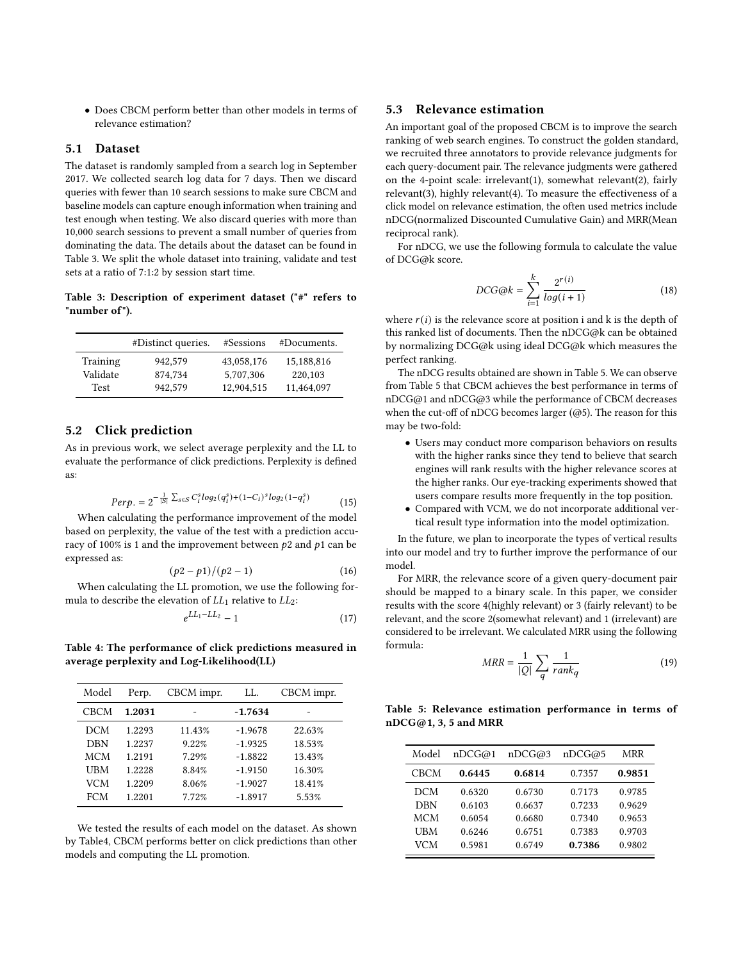• Does CBCM perform better than other models in terms of relevance estimation?

## 5.1 Dataset

The dataset is randomly sampled from a search log in September 2017. We collected search log data for 7 days. Then we discard queries with fewer than 10 search sessions to make sure CBCM and baseline models can capture enough information when training and test enough when testing. We also discard queries with more than 10,000 search sessions to prevent a small number of queries from dominating the data. The details about the dataset can be found in Table [3.](#page-8-0) We split the whole dataset into training, validate and test sets at a ratio of 7:1:2 by session start time.

<span id="page-8-0"></span>Table 3: Description of experiment dataset ("#" refers to "number of").

|             | #Distinct queries. | #Sessions  | #Documents. |
|-------------|--------------------|------------|-------------|
| Training    | 942,579            | 43,058,176 | 15,188,816  |
| Validate    | 874.734            | 5.707.306  | 220,103     |
| <b>Test</b> | 942,579            | 12,904,515 | 11,464,097  |

#### 5.2 Click prediction

As in previous work, we select average perplexity and the LL to evaluate the performance of click predictions. Perplexity is defined as:

$$
Perp. = 2^{-\frac{1}{|S|} \sum_{s \in S} C_i^s \log_2(q_i^s) + (1 - C_i)^s \log_2(1 - q_i^s)}
$$
(15)

When calculating the performance improvement of the model based on perplexity, the value of the test with a prediction accuracy of 100% is 1 and the improvement between  $p2$  and  $p1$  can be expressed as:

$$
(p2 - p1)/(p2 - 1)
$$
 (16)

When calculating the LL promotion, we use the following formula to describe the elevation of  $LL_1$  relative to  $LL_2$ :

$$
e^{LL_1 - LL_2} - 1 \tag{17}
$$

<span id="page-8-1"></span>Table 4: The performance of click predictions measured in average perplexity and Log-Likelihood(LL)

| Model      | Perp.  | CBCM impr. | LL.       | CBCM impr. |
|------------|--------|------------|-----------|------------|
| CBCM       | 1.2031 |            | $-1.7634$ |            |
| DCM        | 1.2293 | 11.43%     | $-1.9678$ | 22.63%     |
| DBN        | 1.2237 | 9.22%      | $-1.9325$ | 18.53%     |
| <b>MCM</b> | 1.2191 | 7.29%      | $-1.8822$ | 13.43%     |
| UBM        | 1.2228 | 8.84%      | $-1.9150$ | 16.30%     |
| <b>VCM</b> | 1.2209 | 8.06%      | $-1.9027$ | 18.41%     |
| <b>FCM</b> | 1.2201 | 7.72%      | $-1.8917$ | 5.53%      |

We tested the results of each model on the dataset. As shown by Tabl[e4,](#page-8-1) CBCM performs better on click predictions than other models and computing the LL promotion.

## 5.3 Relevance estimation

An important goal of the proposed CBCM is to improve the search ranking of web search engines. To construct the golden standard, we recruited three annotators to provide relevance judgments for each query-document pair. The relevance judgments were gathered on the 4-point scale: irrelevant(1), somewhat relevant(2), fairly relevant(3), highly relevant(4). To measure the effectiveness of a click model on relevance estimation, the often used metrics include nDCG(normalized Discounted Cumulative Gain) and MRR(Mean reciprocal rank).

For nDCG, we use the following formula to calculate the value of DCG@k score.

$$
DCG@k = \sum_{i=1}^{k} \frac{2^{r(i)}}{\log(i+1)}
$$
\n(18)

where  $r(i)$  is the relevance score at position i and k is the depth of this ranked list of documents. Then the nDCG@k can be obtained by normalizing DCG@k using ideal DCG@k which measures the perfect ranking.

The nDCG results obtained are shown in Table [5.](#page-8-2) We can observe from Table [5](#page-8-2) that CBCM achieves the best performance in terms of nDCG@1 and nDCG@3 while the performance of CBCM decreases when the cut-off of nDCG becomes larger (@5). The reason for this may be two-fold:

- Users may conduct more comparison behaviors on results with the higher ranks since they tend to believe that search engines will rank results with the higher relevance scores at the higher ranks. Our eye-tracking experiments showed that users compare results more frequently in the top position.
- Compared with VCM, we do not incorporate additional vertical result type information into the model optimization.

In the future, we plan to incorporate the types of vertical results into our model and try to further improve the performance of our model.

For MRR, the relevance score of a given query-document pair should be mapped to a binary scale. In this paper, we consider results with the score 4(highly relevant) or 3 (fairly relevant) to be relevant, and the score 2(somewhat relevant) and 1 (irrelevant) are considered to be irrelevant. We calculated MRR using the following formula:

$$
MRR = \frac{1}{|Q|} \sum_{q} \frac{1}{rank_q} \tag{19}
$$

## <span id="page-8-2"></span>Table 5: Relevance estimation performance in terms of nDCG@1, 3, 5 and MRR

| Model       | nDCG@1 | nDCG@3 | nDCG@5 | MRR    |
|-------------|--------|--------|--------|--------|
| <b>CBCM</b> | 0.6445 | 0.6814 | 0.7357 | 0.9851 |
| DCM         | 0.6320 | 0.6730 | 0.7173 | 0.9785 |
| <b>DBN</b>  | 0.6103 | 0.6637 | 0.7233 | 0.9629 |
| <b>MCM</b>  | 0.6054 | 0.6680 | 0.7340 | 0.9653 |
| UBM         | 0.6246 | 0.6751 | 0.7383 | 0.9703 |
| VCM         | 0.5981 | 0.6749 | 0.7386 | 0.9802 |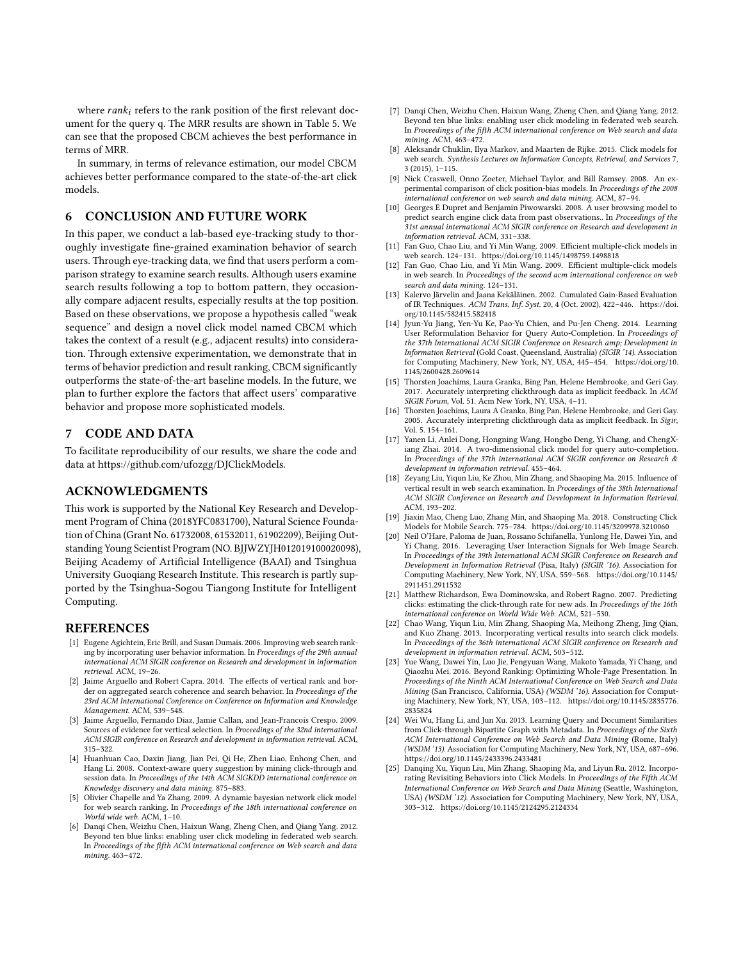where  $rank_i$  refers to the rank position of the first relevant document for the query q. The MRR results are shown in Table [5.](#page-8-2) We can see that the proposed CBCM achieves the best performance in terms of MRR.

In summary, in terms of relevance estimation, our model CBCM achieves better performance compared to the state-of-the-art click models.

# 6 CONCLUSION AND FUTURE WORK

In this paper, we conduct a lab-based eye-tracking study to thoroughly investigate fine-grained examination behavior of search users. Through eye-tracking data, we find that users perform a comparison strategy to examine search results. Although users examine search results following a top to bottom pattern, they occasionally compare adjacent results, especially results at the top position. Based on these observations, we propose a hypothesis called "weak sequence" and design a novel click model named CBCM which takes the context of a result (e.g., adjacent results) into consideration. Through extensive experimentation, we demonstrate that in terms of behavior prediction and result ranking, CBCM significantly outperforms the state-of-the-art baseline models. In the future, we plan to further explore the factors that affect users' comparative behavior and propose more sophisticated models.

# 7 CODE AND DATA

To facilitate reproducibility of our results, we share the code and data at https://github.com/ufozgg/DJClickModels.

## ACKNOWLEDGMENTS

This work is supported by the National Key Research and Development Program of China (2018YFC0831700), Natural Science Foundation of China (Grant No. 61732008, 61532011, 61902209), Beijing Outstanding Young Scientist Program (NO. BJJWZYJH012019100020098), Beijing Academy of Artificial Intelligence (BAAI) and Tsinghua University Guoqiang Research Institute. This research is partly supported by the Tsinghua-Sogou Tiangong Institute for Intelligent Computing.

#### REFERENCES

- <span id="page-9-0"></span>[1] Eugene Agichtein, Eric Brill, and Susan Dumais. 2006. Improving web search ranking by incorporating user behavior information. In Proceedings of the 29th annual international ACM SIGIR conference on Research and development in information retrieval. ACM, 19–26.
- <span id="page-9-21"></span>[2] Jaime Arguello and Robert Capra. 2014. The effects of vertical rank and border on aggregated search coherence and search behavior. In Proceedings of the 23rd ACM International Conference on Conference on Information and Knowledge Management. ACM, 539–548.
- <span id="page-9-20"></span>[3] Jaime Arguello, Fernando Diaz, Jamie Callan, and Jean-Francois Crespo. 2009. Sources of evidence for vertical selection. In Proceedings of the 32nd international ACM SIGIR conference on Research and development in information retrieval. ACM, 315–322.
- <span id="page-9-2"></span>[4] Huanhuan Cao, Daxin Jiang, Jian Pei, Qi He, Zhen Liao, Enhong Chen, and Hang Li. 2008. Context-aware query suggestion by mining click-through and session data. In Proceedings of the 14th ACM SIGKDD international conference on Knowledge discovery and data mining. 875–883.
- <span id="page-9-12"></span>[5] Olivier Chapelle and Ya Zhang. 2009. A dynamic bayesian network click model for web search ranking. In Proceedings of the 18th international conference on World wide web. ACM, 1–10.
- <span id="page-9-14"></span>[6] Danqi Chen, Weizhu Chen, Haixun Wang, Zheng Chen, and Qiang Yang. 2012. Beyond ten blue links: enabling user click modeling in federated web search. In Proceedings of the fifth ACM international conference on Web search and data mining. 463–472.
- <span id="page-9-23"></span>[7] Danqi Chen, Weizhu Chen, Haixun Wang, Zheng Chen, and Qiang Yang. 2012. Beyond ten blue links: enabling user click modeling in federated web search. In Proceedings of the fifth ACM international conference on Web search and data mining. ACM, 463–472.
- <span id="page-9-8"></span>[8] Aleksandr Chuklin, Ilya Markov, and Maarten de Rijke. 2015. Click models for web search. Synthesis Lectures on Information Concepts, Retrieval, and Services 7, 3 (2015), 1–115.
- <span id="page-9-9"></span>[9] Nick Craswell, Onno Zoeter, Michael Taylor, and Bill Ramsey. 2008. An experimental comparison of click position-bias models. In Proceedings of the 2008 international conference on web search and data mining. ACM, 87–94.
- <span id="page-9-11"></span>[10] Georges E Dupret and Benjamin Piwowarski. 2008. A user browsing model to predict search engine click data from past observations.. In Proceedings of the 31st annual international ACM SIGIR conference on Research and development in information retrieval. ACM, 331–338.
- <span id="page-9-19"></span>[11] Fan Guo, Chao Liu, and Yi Min Wang. 2009. Efficient multiple-click models in web search. 124–131.<https://doi.org/10.1145/1498759.1498818>
- <span id="page-9-10"></span>[12] Fan Guo, Chao Liu, and Yi Min Wang. 2009. Efficient multiple-click models in web search. In Proceedings of the second acm international conference on web search and data mining. 124–131.
- <span id="page-9-16"></span>[13] Kalervo Järvelin and Jaana Kekäläinen. 2002. Cumulated Gain-Based Evaluation of IR Techniques. ACM Trans. Inf. Syst. 20, 4 (Oct. 2002), 422–446. [https://doi.](https://doi.org/10.1145/582415.582418) [org/10.1145/582415.582418](https://doi.org/10.1145/582415.582418)
- <span id="page-9-4"></span>[14] Jyun-Yu Jiang, Yen-Yu Ke, Pao-Yu Chien, and Pu-Jen Cheng. 2014. Learning User Reformulation Behavior for Query Auto-Completion. In Proceedings of the 37th International ACM SIGIR Conference on Research amp; Development in Information Retrieval (Gold Coast, Queensland, Australia) (SIGIR '14). Association for Computing Machinery, New York, NY, USA, 445–454. [https://doi.org/10.](https://doi.org/10.1145/2600428.2609614) [1145/2600428.2609614](https://doi.org/10.1145/2600428.2609614)
- <span id="page-9-7"></span>[15] Thorsten Joachims, Laura Granka, Bing Pan, Helene Hembrooke, and Geri Gay. 2017. Accurately interpreting clickthrough data as implicit feedback. In ACM SIGIR Forum, Vol. 51. Acm New York, NY, USA, 4–11.
- <span id="page-9-17"></span>[16] Thorsten Joachims, Laura A Granka, Bing Pan, Helene Hembrooke, and Geri Gay. 2005. Accurately interpreting clickthrough data as implicit feedback. In Sigir, Vol. 5. 154–161.
- <span id="page-9-5"></span>[17] Yanen Li, Anlei Dong, Hongning Wang, Hongbo Deng, Yi Chang, and ChengXiang Zhai. 2014. A two-dimensional click model for query auto-completion. In Proceedings of the 37th international ACM SIGIR conference on Research & development in information retrieval. 455–464.
- <span id="page-9-22"></span>[18] Zeyang Liu, Yiqun Liu, Ke Zhou, Min Zhang, and Shaoping Ma. 2015. Influence of vertical result in web search examination. In Proceedings of the 38th International ACM SIGIR Conference on Research and Development in Information Retrieval. ACM, 193–202.
- <span id="page-9-24"></span>[19] Jiaxin Mao, Cheng Luo, Zhang Min, and Shaoping Ma. 2018. Constructing Click Models for Mobile Search. 775–784.<https://doi.org/10.1145/3209978.3210060>
- <span id="page-9-1"></span>[20] Neil O'Hare, Paloma de Juan, Rossano Schifanella, Yunlong He, Dawei Yin, and Yi Chang. 2016. Leveraging User Interaction Signals for Web Image Search. In Proceedings of the 39th International ACM SIGIR Conference on Research and Development in Information Retrieval (Pisa, Italy) (SIGIR '16). Association for Computing Machinery, New York, NY, USA, 559–568. [https://doi.org/10.1145/](https://doi.org/10.1145/2911451.2911532) [2911451.2911532](https://doi.org/10.1145/2911451.2911532)
- <span id="page-9-18"></span>[21] Matthew Richardson, Ewa Dominowska, and Robert Ragno. 2007. Predicting clicks: estimating the click-through rate for new ads. In Proceedings of the 16th international conference on World Wide Web. ACM, 521–530.
- <span id="page-9-13"></span>[22] Chao Wang, Yiqun Liu, Min Zhang, Shaoping Ma, Meihong Zheng, Jing Qian, and Kuo Zhang. 2013. Incorporating vertical results into search click models. In Proceedings of the 36th international ACM SIGIR conference on Research and development in information retrieval. ACM, 503–512.
- <span id="page-9-6"></span>[23] Yue Wang, Dawei Yin, Luo Jie, Pengyuan Wang, Makoto Yamada, Yi Chang, and Qiaozhu Mei. 2016. Beyond Ranking: Optimizing Whole-Page Presentation. In Proceedings of the Ninth ACM International Conference on Web Search and Data Mining (San Francisco, California, USA) (WSDM '16). Association for Computing Machinery, New York, NY, USA, 103–112. [https://doi.org/10.1145/2835776.](https://doi.org/10.1145/2835776.2835824) [2835824](https://doi.org/10.1145/2835776.2835824)
- <span id="page-9-3"></span>[24] Wei Wu, Hang Li, and Jun Xu. 2013. Learning Query and Document Similarities from Click-through Bipartite Graph with Metadata. In Proceedings of the Sixth ACM International Conference on Web Search and Data Mining (Rome, Italy) (WSDM '13). Association for Computing Machinery, New York, NY, USA, 687–696. <https://doi.org/10.1145/2433396.2433481>
- <span id="page-9-15"></span>[25] Danqing Xu, Yiqun Liu, Min Zhang, Shaoping Ma, and Liyun Ru. 2012. Incorporating Revisiting Behaviors into Click Models. In Proceedings of the Fifth ACM International Conference on Web Search and Data Mining (Seattle, Washington, USA) (WSDM '12). Association for Computing Machinery, New York, NY, USA, 303–312.<https://doi.org/10.1145/2124295.2124334>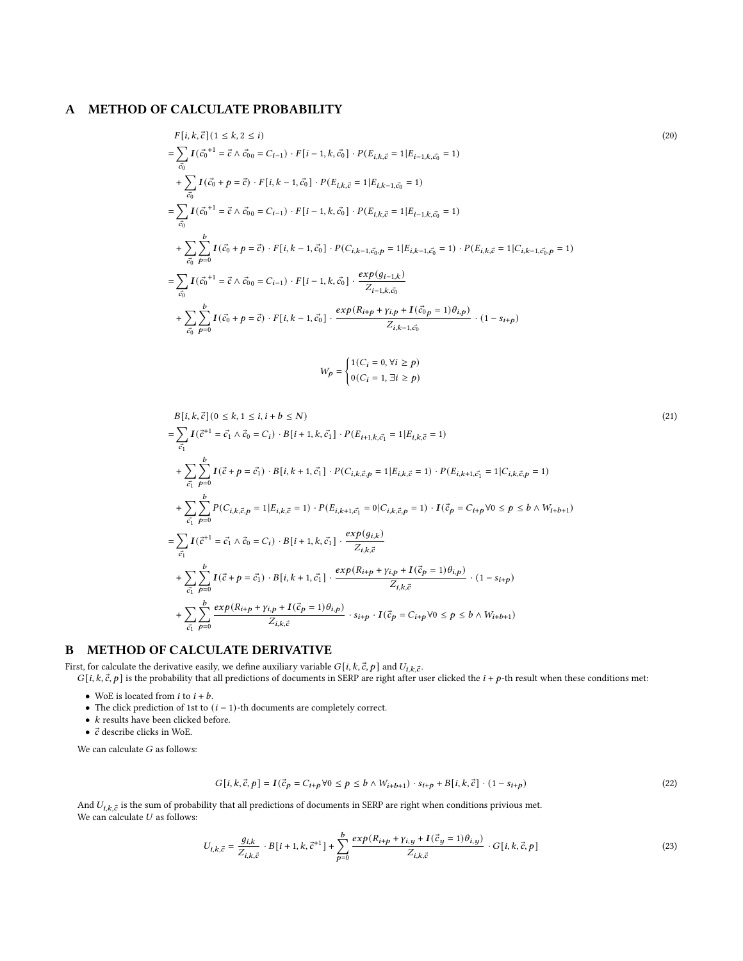## A METHOD OF CALCULATE PROBABILITY

$$
F[i, k, \vec{c}] (1 \le k, 2 \le i)
$$
\n
$$
= \sum_{\vec{c}_0} I(\vec{c}_0^{+1} = \vec{c} \wedge \vec{c}_{00} = C_{i-1}) \cdot F[i-1, k, \vec{c}_0] \cdot P(E_{i,k,\vec{c}} = 1 | E_{i-1,k,\vec{c}_0} = 1)
$$
\n
$$
+ \sum_{\vec{c}_0} I(\vec{c}_0 + p = \vec{c}) \cdot F[i, k-1, \vec{c}_0] \cdot P(E_{i,k,\vec{c}} = 1 | E_{i,k-1,\vec{c}_0} = 1)
$$
\n
$$
= \sum_{\vec{c}_0} I(\vec{c}_0^{+1} = \vec{c} \wedge \vec{c}_{00} = C_{i-1}) \cdot F[i-1, k, \vec{c}_0] \cdot P(E_{i,k,\vec{c}} = 1 | E_{i-1,k,\vec{c}_0} = 1)
$$
\n
$$
+ \sum_{\vec{c}_0} \sum_{p=0}^{b} I(\vec{c}_0 + p = \vec{c}) \cdot F[i, k-1, \vec{c}_0] \cdot P(C_{i,k-1,\vec{c}_0, p} = 1 | E_{i,k-1,\vec{c}_0} = 1) \cdot P(E_{i,k,\vec{c}} = 1 | C_{i,k-1,\vec{c}_0, p} = 1)
$$
\n
$$
= \sum_{\vec{c}_0} I(\vec{c}_0^{+1} = \vec{c} \wedge \vec{c}_{00} = C_{i-1}) \cdot F[i-1, k, \vec{c}_0] \cdot \frac{exp(g_{i-1,k})}{Z_{i-1,k,\vec{c}_0}}
$$
\n
$$
+ \sum_{\vec{c}_0} \sum_{p=0}^{b} I(\vec{c}_0 + p = \vec{c}) \cdot F[i, k-1, \vec{c}_0] \cdot \frac{exp(R_{i+p} + \gamma_{i,p} + I(\vec{c}_{0p} = 1)\theta_{i,p})}{Z_{i,k-1,\vec{c}_0}} \cdot (1 - s_{i+p})
$$
\n
$$
W_p = \begin{cases} 1(C_i = 0, \forall i \ge p) \end{cases}
$$

<span id="page-10-1"></span><span id="page-10-0"></span> $0(C_i = 1, \exists i \ge p)$ 

$$
B[i, k, \vec{c}] (0 \le k, 1 \le i, i + b \le N)
$$
\n
$$
= \sum_{\vec{c_1}} I(\vec{c}^{+1} = \vec{c_1} \land \vec{c_0} = C_i) \cdot B[i + 1, k, \vec{c_1}] \cdot P(E_{i+1,k,\vec{c_1}} = 1 | E_{i,k,\vec{c}} = 1)
$$
\n
$$
+ \sum_{\vec{c_1}} \sum_{p=0}^{b} I(\vec{c} + p = \vec{c_1}) \cdot B[i, k + 1, \vec{c_1}] \cdot P(C_{i,k,\vec{c},p} = 1 | E_{i,k,\vec{c}} = 1) \cdot P(E_{i,k+1,\vec{c_1}} = 1 | C_{i,k,\vec{c},p} = 1)
$$
\n
$$
+ \sum_{\vec{c_1}} \sum_{p=0}^{b} P(C_{i,k,\vec{c},p} = 1 | E_{i,k,\vec{c}} = 1) \cdot P(E_{i,k+1,\vec{c_1}} = 0 | C_{i,k,\vec{c},p} = 1) \cdot I(\vec{c_p} = C_{i+p} \forall 0 \le p \le b \land W_{i+b+1})
$$
\n
$$
= \sum_{\vec{c_1}} I(\vec{c}^{+1} = \vec{c_1} \land \vec{c_0} = C_i) \cdot B[i + 1, k, \vec{c_1}] \cdot \frac{exp(g_{i,k})}{Z_{i,k,\vec{c}}}
$$
\n
$$
+ \sum_{\vec{c_1}} \sum_{p=0}^{b} I(\vec{c} + p = \vec{c_1}) \cdot B[i, k + 1, \vec{c_1}] \cdot \frac{exp(R_{i+p} + \gamma_{i,p} + I(\vec{c_p} = 1)\theta_{i,p})}{Z_{i,k,\vec{c}}} \cdot (1 - s_{i+p})
$$
\n
$$
+ \sum_{\vec{c_1}} \sum_{p=0}^{b} \frac{exp(R_{i+p} + \gamma_{i,p} + I(\vec{c_p} = 1)\theta_{i,p})}{Z_{i,k,\vec{c}}} \cdot s_{i+p} \cdot I(\vec{c_p} = C_{i+p} \forall 0 \le p \le b \land W_{i+b+1})
$$

# B METHOD OF CALCULATE DERIVATIVE

First, for calculate the derivative easily, we define auxiliary variable  $G[i, k, \vec{c}, p]$  and  $U_{i,k,\vec{c}}$ .

 $G[i, k, \vec{c}, p]$  is the probability that all predictions of documents in SERP are right after user clicked the  $i + p$ -th result when these conditions met:

- $\bullet\,$  WoE is located from  $i$  to  $i+b.$
- The click prediction of 1st to  $(i 1)$ -th documents are completely correct.
- $\bullet~$   $k$  results have been clicked before.
- $\bullet~$   $\vec{c}$  describe clicks in WoE.

We can calculate  $G$  as follows:

$$
G[i, k, \vec{c}, p] = I(\vec{c}_p = C_{i+p} \forall 0 \le p \le b \land W_{i+b+1}) \cdot s_{i+p} + B[i, k, \vec{c}] \cdot (1 - s_{i+p}) \tag{22}
$$

And  $U_{i,k,\vec{c}}$  is the sum of probability that all predictions of documents in SERP are right when conditions privious met. We can calculate  $U$  as follows:

$$
U_{i,k,\vec{c}} = \frac{g_{i,k}}{Z_{i,k,\vec{c}}} \cdot B[i+1,k,\vec{c}^{+1}] + \sum_{p=0}^{b} \frac{\exp(R_{i+p} + \gamma_{i,y} + I(\vec{c}_y = 1)\theta_{i,y})}{Z_{i,k,\vec{c}}} \cdot G[i,k,\vec{c},p] \tag{23}
$$